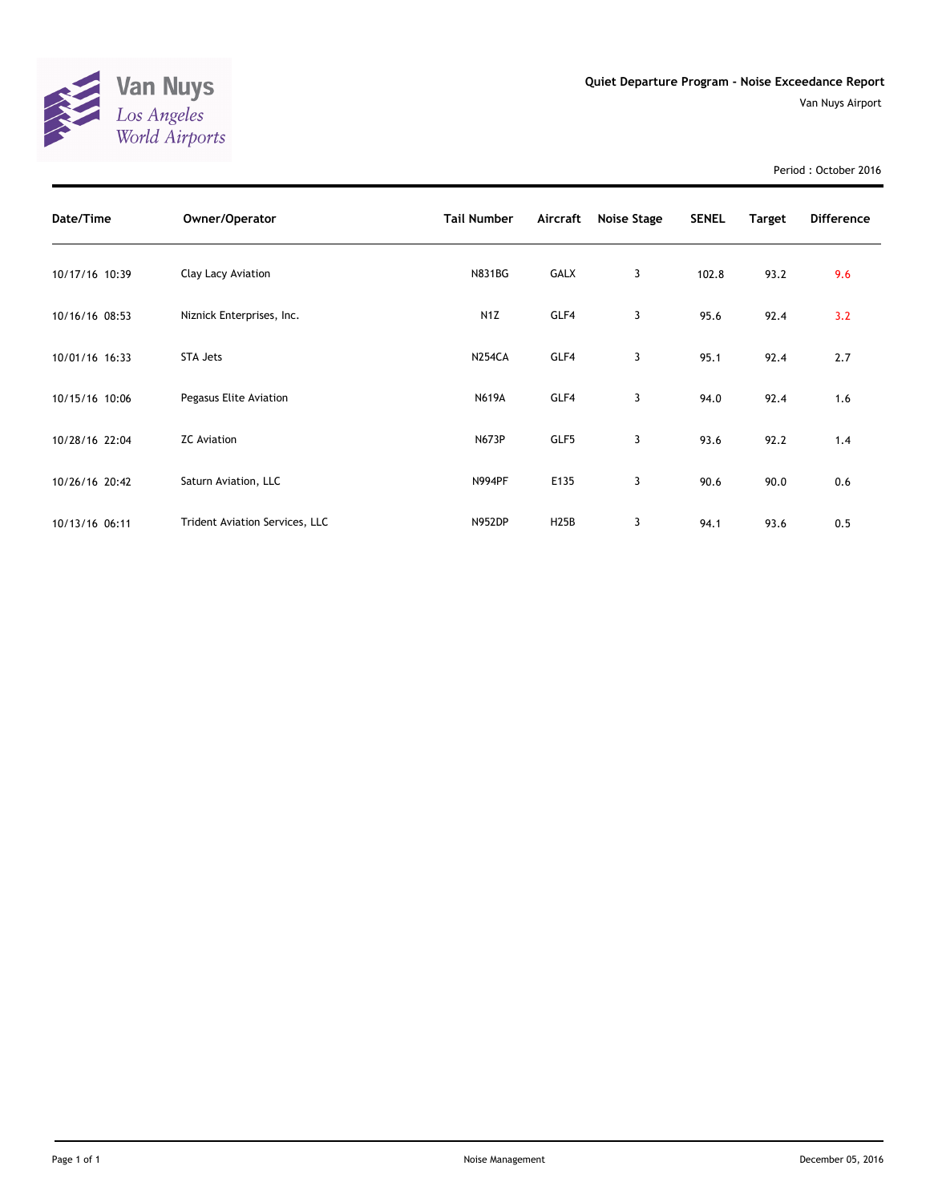

Period : October 2016

| Date/Time      | Owner/Operator                 | <b>Tail Number</b> | Aircraft    | Noise Stage    | <b>SENEL</b> | <b>Target</b> | <b>Difference</b> |
|----------------|--------------------------------|--------------------|-------------|----------------|--------------|---------------|-------------------|
| 10/17/16 10:39 | Clay Lacy Aviation             | <b>N831BG</b>      | GALX        | 3              | 102.8        | 93.2          | 9.6               |
| 10/16/16 08:53 | Niznick Enterprises, Inc.      | N <sub>1</sub> Z   | GLF4        | 3              | 95.6         | 92.4          | 3.2               |
| 10/01/16 16:33 | STA Jets                       | <b>N254CA</b>      | GLF4        | 3              | 95.1         | 92.4          | 2.7               |
| 10/15/16 10:06 | Pegasus Elite Aviation         | <b>N619A</b>       | GLF4        | 3              | 94.0         | 92.4          | 1.6               |
| 10/28/16 22:04 | <b>ZC</b> Aviation             | <b>N673P</b>       | GLF5        | 3              | 93.6         | 92.2          | 1.4               |
| 10/26/16 20:42 | Saturn Aviation, LLC           | <b>N994PF</b>      | E135        | $\overline{3}$ | 90.6         | 90.0          | 0.6               |
| 10/13/16 06:11 | Trident Aviation Services, LLC | <b>N952DP</b>      | <b>H25B</b> | 3              | 94.1         | 93.6          | 0.5               |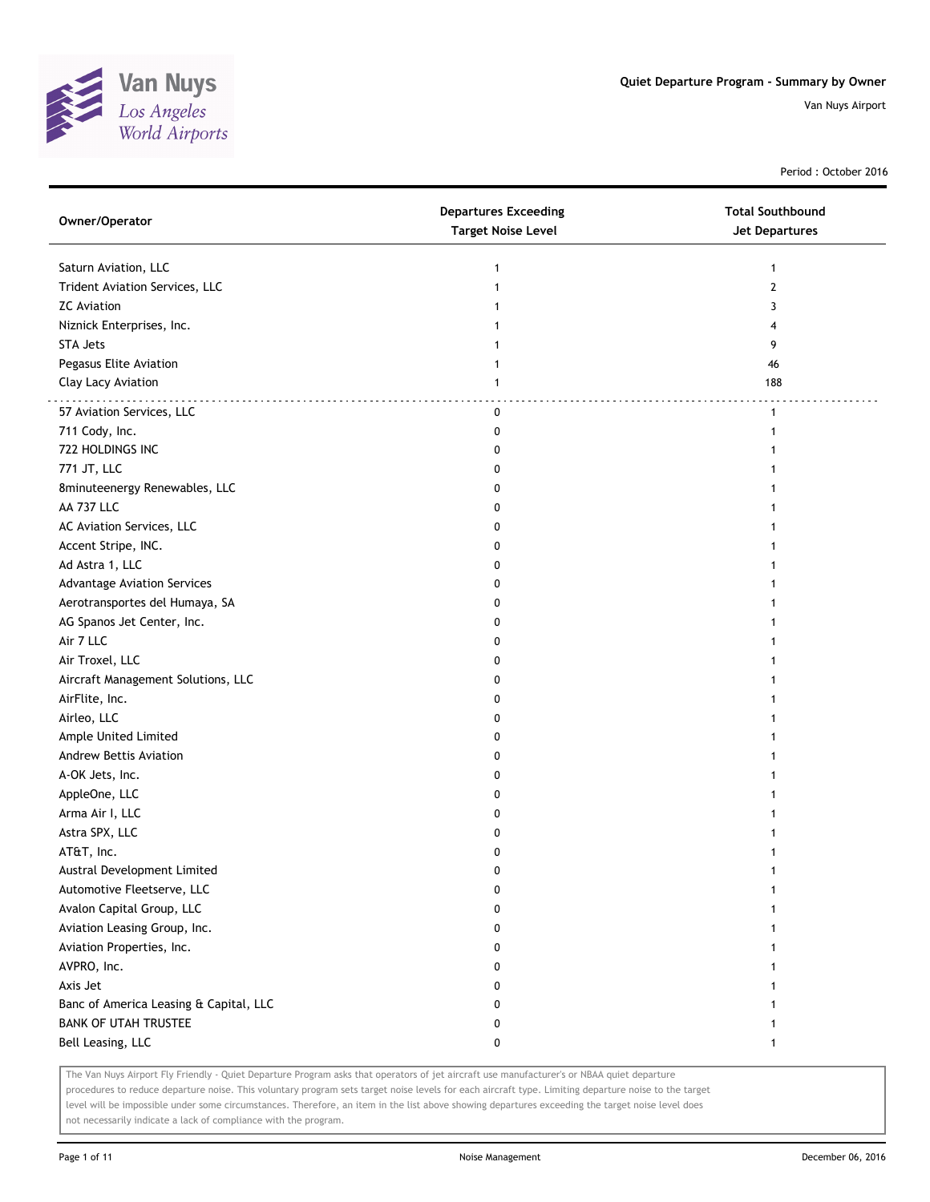

Period : October 2016

| Owner/Operator                         | <b>Departures Exceeding</b><br><b>Target Noise Level</b> | <b>Total Southbound</b><br>Jet Departures |
|----------------------------------------|----------------------------------------------------------|-------------------------------------------|
| Saturn Aviation, LLC                   | 1                                                        | $\mathbf{1}$                              |
| Trident Aviation Services, LLC         | 1                                                        | 2                                         |
| <b>ZC</b> Aviation                     |                                                          | 3                                         |
| Niznick Enterprises, Inc.              |                                                          | 4                                         |
| <b>STA Jets</b>                        |                                                          | 9                                         |
| Pegasus Elite Aviation                 |                                                          | 46                                        |
| Clay Lacy Aviation                     | 1                                                        | 188                                       |
| 57 Aviation Services, LLC              | 0                                                        | $\mathbf{1}$                              |
| 711 Cody, Inc.                         | 0                                                        | 1                                         |
| 722 HOLDINGS INC                       | 0                                                        |                                           |
| 771 JT, LLC                            | 0                                                        |                                           |
| 8minuteenergy Renewables, LLC          | 0                                                        |                                           |
| AA 737 LLC                             | 0                                                        |                                           |
| AC Aviation Services, LLC              | 0                                                        |                                           |
| Accent Stripe, INC.                    | 0                                                        |                                           |
| Ad Astra 1, LLC                        | 0                                                        |                                           |
| <b>Advantage Aviation Services</b>     | 0                                                        | 1                                         |
| Aerotransportes del Humaya, SA         | 0                                                        | 1                                         |
| AG Spanos Jet Center, Inc.             | 0                                                        | 1                                         |
| Air 7 LLC                              | 0                                                        |                                           |
| Air Troxel, LLC                        | 0                                                        |                                           |
| Aircraft Management Solutions, LLC     | 0                                                        |                                           |
| AirFlite, Inc.                         | 0                                                        |                                           |
| Airleo, LLC                            | 0                                                        |                                           |
| Ample United Limited                   | 0                                                        |                                           |
| Andrew Bettis Aviation                 | 0                                                        |                                           |
| A-OK Jets, Inc.                        | 0                                                        |                                           |
| AppleOne, LLC                          | 0                                                        |                                           |
| Arma Air I, LLC                        | 0                                                        |                                           |
| Astra SPX, LLC                         | 0                                                        |                                           |
| AT&T, Inc.                             | 0                                                        |                                           |
| Austral Development Limited            | 0                                                        | 1                                         |
| Automotive Fleetserve, LLC             | 0                                                        | $\mathbf{1}$                              |
| Avalon Capital Group, LLC              | 0                                                        |                                           |
| Aviation Leasing Group, Inc.           | 0                                                        |                                           |
| Aviation Properties, Inc.              | 0                                                        |                                           |
| AVPRO, Inc.                            | 0                                                        | 1                                         |
| Axis Jet                               | 0                                                        | 1                                         |
| Banc of America Leasing & Capital, LLC | 0                                                        | 1                                         |
| <b>BANK OF UTAH TRUSTEE</b>            | 0                                                        | 1                                         |
| Bell Leasing, LLC                      | 0                                                        | 1                                         |

The Van Nuys Airport Fly Friendly - Quiet Departure Program asks that operators of jet aircraft use manufacturer's or NBAA quiet departure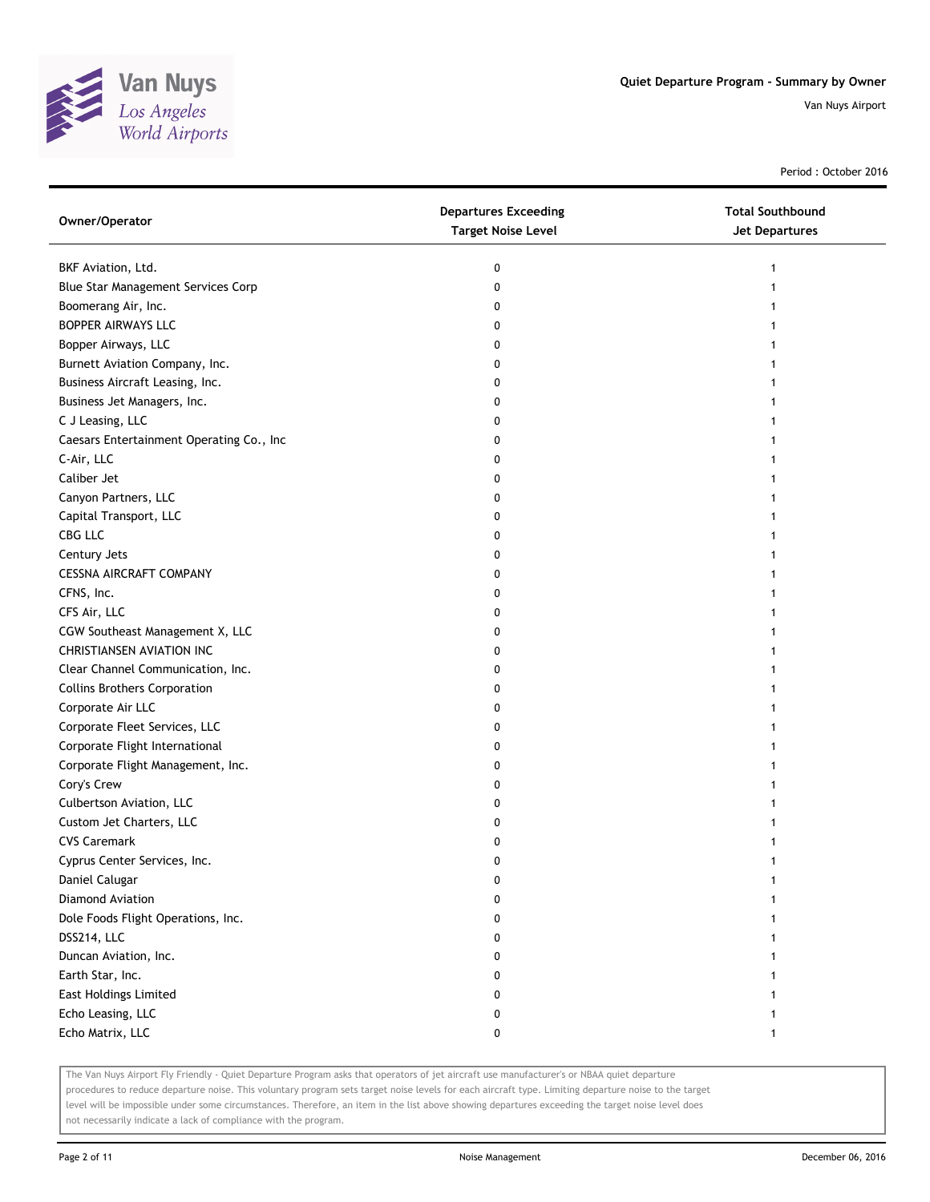

Period : October 2016

| Owner/Operator                           | <b>Departures Exceeding</b><br><b>Target Noise Level</b> | <b>Total Southbound</b><br>Jet Departures |
|------------------------------------------|----------------------------------------------------------|-------------------------------------------|
| BKF Aviation, Ltd.                       | 0                                                        |                                           |
| Blue Star Management Services Corp       | 0                                                        |                                           |
| Boomerang Air, Inc.                      | 0                                                        |                                           |
| BOPPER AIRWAYS LLC                       | 0                                                        |                                           |
| Bopper Airways, LLC                      | 0                                                        |                                           |
| Burnett Aviation Company, Inc.           | 0                                                        |                                           |
| Business Aircraft Leasing, Inc.          | 0                                                        | 1                                         |
| Business Jet Managers, Inc.              | 0                                                        |                                           |
| C J Leasing, LLC                         | 0                                                        |                                           |
| Caesars Entertainment Operating Co., Inc | 0                                                        |                                           |
| C-Air, LLC                               | 0                                                        |                                           |
| Caliber Jet                              | 0                                                        |                                           |
| Canyon Partners, LLC                     | 0                                                        |                                           |
| Capital Transport, LLC                   | 0                                                        |                                           |
| CBG LLC                                  | 0                                                        |                                           |
| Century Jets                             | 0                                                        |                                           |
| <b>CESSNA AIRCRAFT COMPANY</b>           | 0                                                        |                                           |
| CFNS, Inc.                               | 0                                                        |                                           |
| CFS Air, LLC                             | 0                                                        |                                           |
| CGW Southeast Management X, LLC          | 0                                                        |                                           |
| <b>CHRISTIANSEN AVIATION INC</b>         | 0                                                        |                                           |
| Clear Channel Communication, Inc.        | 0                                                        |                                           |
| <b>Collins Brothers Corporation</b>      | 0                                                        |                                           |
| Corporate Air LLC                        | 0                                                        |                                           |
| Corporate Fleet Services, LLC            | 0                                                        |                                           |
| Corporate Flight International           | 0                                                        |                                           |
| Corporate Flight Management, Inc.        | 0                                                        |                                           |
| Cory's Crew                              | 0                                                        |                                           |
| Culbertson Aviation, LLC                 | 0                                                        |                                           |
| Custom Jet Charters, LLC                 | 0                                                        |                                           |
| <b>CVS Caremark</b>                      | 0                                                        |                                           |
| Cyprus Center Services, Inc.             | 0                                                        |                                           |
| Daniel Calugar                           | 0                                                        |                                           |
| Diamond Aviation                         | 0                                                        |                                           |
| Dole Foods Flight Operations, Inc.       | 0                                                        |                                           |
| DSS214, LLC                              | 0                                                        |                                           |
| Duncan Aviation, Inc.                    | 0                                                        | 1                                         |
| Earth Star, Inc.                         | 0                                                        |                                           |
| <b>East Holdings Limited</b>             | 0                                                        |                                           |
| Echo Leasing, LLC                        | 0                                                        |                                           |
| Echo Matrix, LLC                         | 0                                                        | 1                                         |

The Van Nuys Airport Fly Friendly - Quiet Departure Program asks that operators of jet aircraft use manufacturer's or NBAA quiet departure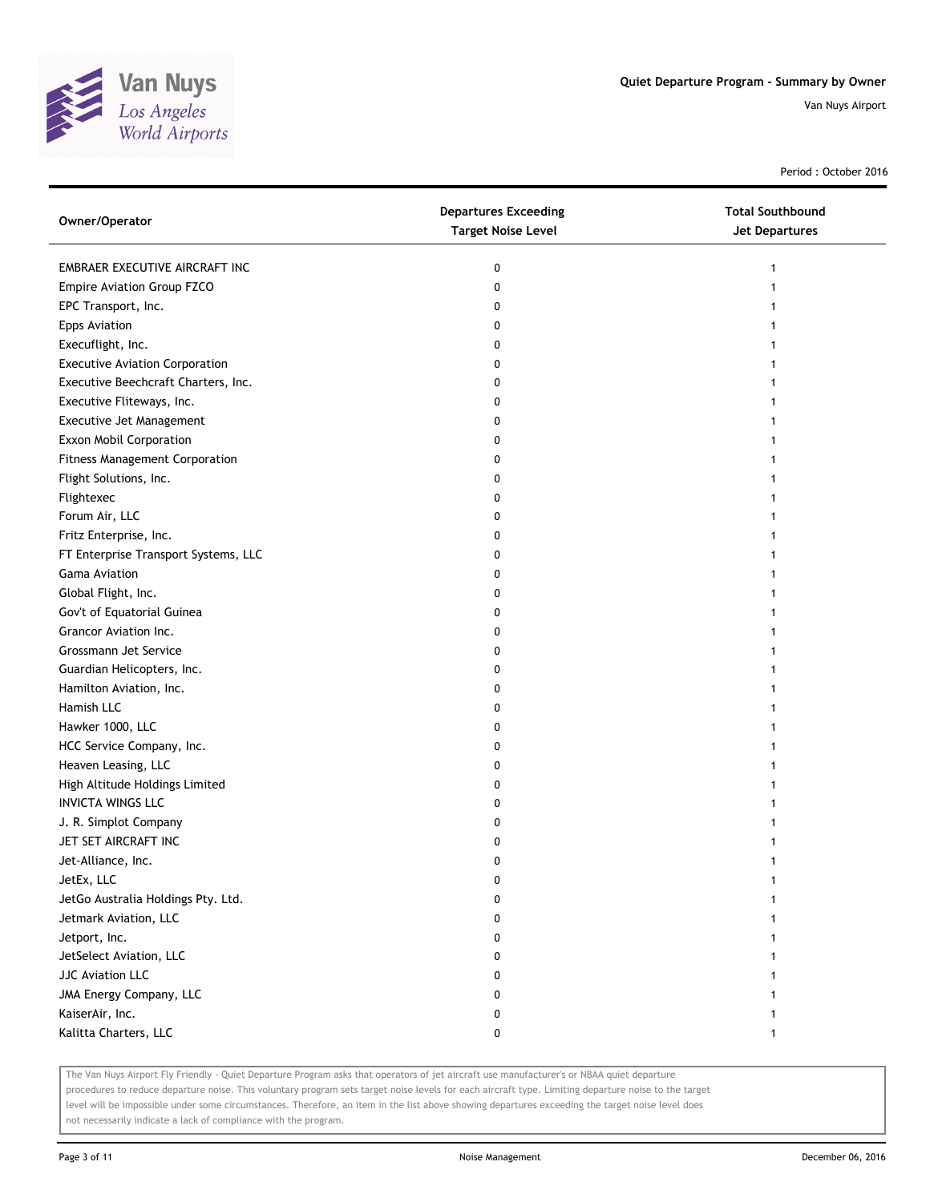

Period : October 2016

| Owner/Operator                        | <b>Departures Exceeding</b><br><b>Target Noise Level</b> | <b>Total Southbound</b><br><b>Jet Departures</b> |
|---------------------------------------|----------------------------------------------------------|--------------------------------------------------|
| EMBRAER EXECUTIVE AIRCRAFT INC        | 0                                                        | 1                                                |
| Empire Aviation Group FZCO            | 0                                                        | 1                                                |
| EPC Transport, Inc.                   | 0                                                        |                                                  |
| <b>Epps Aviation</b>                  | 0                                                        |                                                  |
| Execuflight, Inc.                     | 0                                                        |                                                  |
| <b>Executive Aviation Corporation</b> | 0                                                        |                                                  |
| Executive Beechcraft Charters, Inc.   | 0                                                        | 1                                                |
| Executive Fliteways, Inc.             | 0                                                        | 1                                                |
| Executive Jet Management              | 0                                                        |                                                  |
| Exxon Mobil Corporation               | 0                                                        |                                                  |
| Fitness Management Corporation        | 0                                                        |                                                  |
| Flight Solutions, Inc.                | 0                                                        |                                                  |
| Flightexec                            | 0                                                        |                                                  |
| Forum Air, LLC                        | 0                                                        |                                                  |
| Fritz Enterprise, Inc.                | 0                                                        |                                                  |
| FT Enterprise Transport Systems, LLC  | 0                                                        |                                                  |
| Gama Aviation                         | 0                                                        | 1                                                |
| Global Flight, Inc.                   | 0                                                        | 1                                                |
| Gov't of Equatorial Guinea            | 0                                                        |                                                  |
| Grancor Aviation Inc.                 | 0                                                        |                                                  |
| Grossmann Jet Service                 | 0                                                        |                                                  |
| Guardian Helicopters, Inc.            | 0                                                        |                                                  |
| Hamilton Aviation, Inc.               | 0                                                        |                                                  |
| Hamish LLC                            | 0                                                        |                                                  |
| Hawker 1000, LLC                      | 0                                                        |                                                  |
| HCC Service Company, Inc.             | 0                                                        |                                                  |
| Heaven Leasing, LLC                   | 0                                                        |                                                  |
| High Altitude Holdings Limited        | 0                                                        |                                                  |
| <b>INVICTA WINGS LLC</b>              | 0                                                        |                                                  |
| J. R. Simplot Company                 | 0                                                        |                                                  |
| JET SET AIRCRAFT INC                  | 0                                                        |                                                  |
| Jet-Alliance, Inc.                    | 0                                                        |                                                  |
| JetEx, LLC                            | U                                                        |                                                  |
| JetGo Australia Holdings Pty. Ltd.    | 0                                                        |                                                  |
| Jetmark Aviation, LLC                 | 0                                                        |                                                  |
| Jetport, Inc.                         | 0                                                        |                                                  |
| JetSelect Aviation, LLC               | 0                                                        |                                                  |
| <b>JJC Aviation LLC</b>               | 0                                                        |                                                  |
| JMA Energy Company, LLC               | 0                                                        |                                                  |
| KaiserAir, Inc.                       | 0                                                        |                                                  |
| Kalitta Charters, LLC                 | 0                                                        | 1                                                |

The Van Nuys Airport Fly Friendly - Quiet Departure Program asks that operators of jet aircraft use manufacturer's or NBAA quiet departure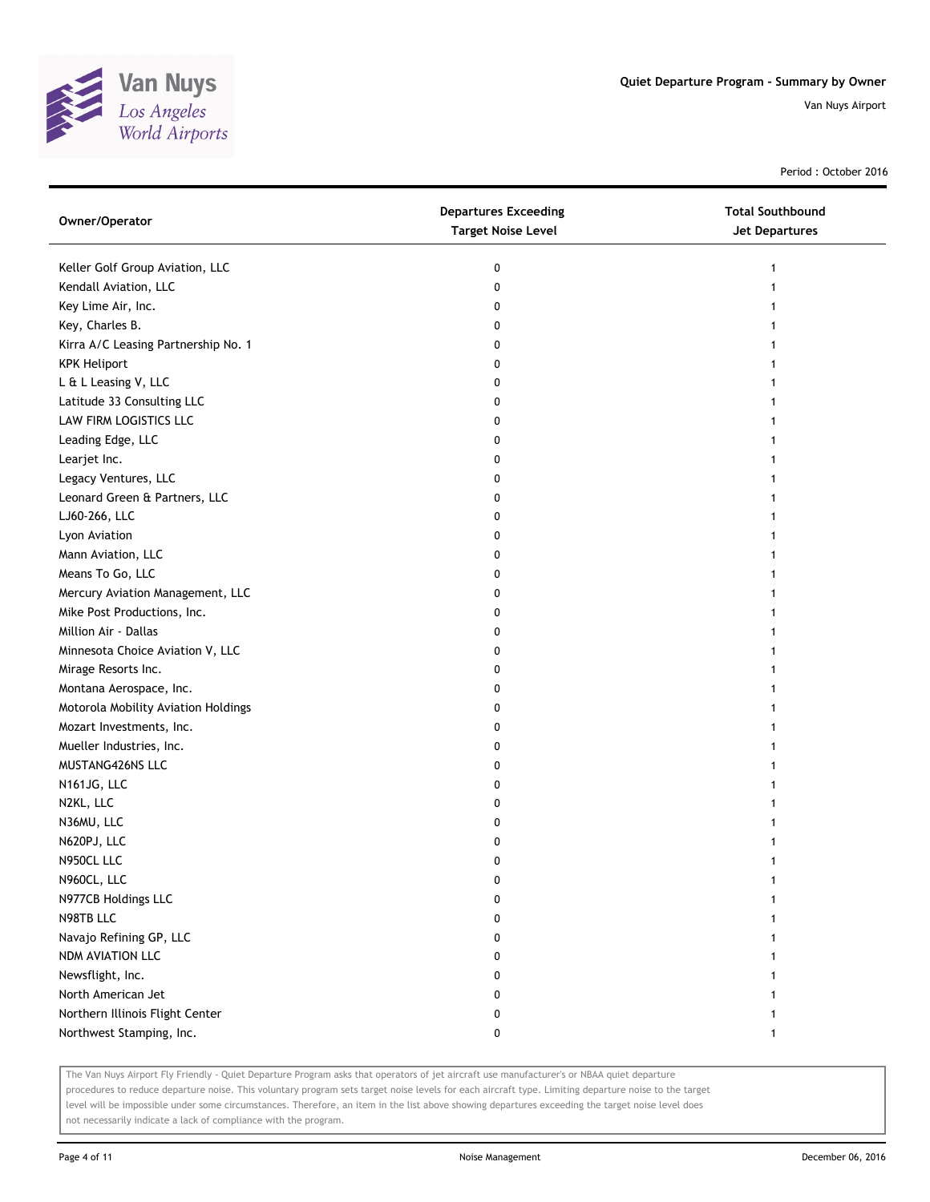

Period : October 2016

| Owner/Operator                      | <b>Departures Exceeding</b><br><b>Target Noise Level</b> | <b>Total Southbound</b><br><b>Jet Departures</b> |
|-------------------------------------|----------------------------------------------------------|--------------------------------------------------|
| Keller Golf Group Aviation, LLC     | 0                                                        | 1                                                |
| Kendall Aviation, LLC               | 0                                                        |                                                  |
| Key Lime Air, Inc.                  | 0                                                        |                                                  |
| Key, Charles B.                     | 0                                                        |                                                  |
| Kirra A/C Leasing Partnership No. 1 | 0                                                        |                                                  |
| <b>KPK Heliport</b>                 | 0                                                        |                                                  |
| L & L Leasing V, LLC                | 0                                                        | 1                                                |
| Latitude 33 Consulting LLC          | 0                                                        | 1                                                |
| LAW FIRM LOGISTICS LLC              | 0                                                        |                                                  |
| Leading Edge, LLC                   | 0                                                        |                                                  |
| Learjet Inc.                        | 0                                                        |                                                  |
| Legacy Ventures, LLC                | 0                                                        |                                                  |
| Leonard Green & Partners, LLC       | 0                                                        |                                                  |
| LJ60-266, LLC                       | 0                                                        |                                                  |
| Lyon Aviation                       | 0                                                        |                                                  |
| Mann Aviation, LLC                  | 0                                                        | 1                                                |
| Means To Go, LLC                    | 0                                                        | 1                                                |
| Mercury Aviation Management, LLC    | 0                                                        | 1                                                |
| Mike Post Productions, Inc.         | 0                                                        |                                                  |
| Million Air - Dallas                | 0                                                        |                                                  |
| Minnesota Choice Aviation V, LLC    | 0                                                        |                                                  |
| Mirage Resorts Inc.                 | 0                                                        |                                                  |
| Montana Aerospace, Inc.             | 0                                                        | 1                                                |
| Motorola Mobility Aviation Holdings | 0                                                        | 1                                                |
| Mozart Investments, Inc.            | 0                                                        | 1                                                |
| Mueller Industries, Inc.            | 0                                                        | 1                                                |
| MUSTANG426NS LLC                    | 0                                                        | 1                                                |
| N161JG, LLC                         | 0                                                        | 1                                                |
| N2KL, LLC                           | 0                                                        |                                                  |
| N36MU, LLC                          | 0                                                        |                                                  |
| N620PJ, LLC                         | 0                                                        |                                                  |
| N950CL LLC                          | 0                                                        | 1                                                |
| N960CL, LLC                         | 0                                                        |                                                  |
| N977CB Holdings LLC                 | 0                                                        |                                                  |
| N98TB LLC                           | 0                                                        |                                                  |
| Navajo Refining GP, LLC             | 0                                                        |                                                  |
| NDM AVIATION LLC                    | 0                                                        |                                                  |
| Newsflight, Inc.                    | 0                                                        |                                                  |
| North American Jet                  | 0                                                        |                                                  |
| Northern Illinois Flight Center     | 0                                                        |                                                  |
| Northwest Stamping, Inc.            | 0                                                        | 1                                                |
|                                     |                                                          |                                                  |

The Van Nuys Airport Fly Friendly - Quiet Departure Program asks that operators of jet aircraft use manufacturer's or NBAA quiet departure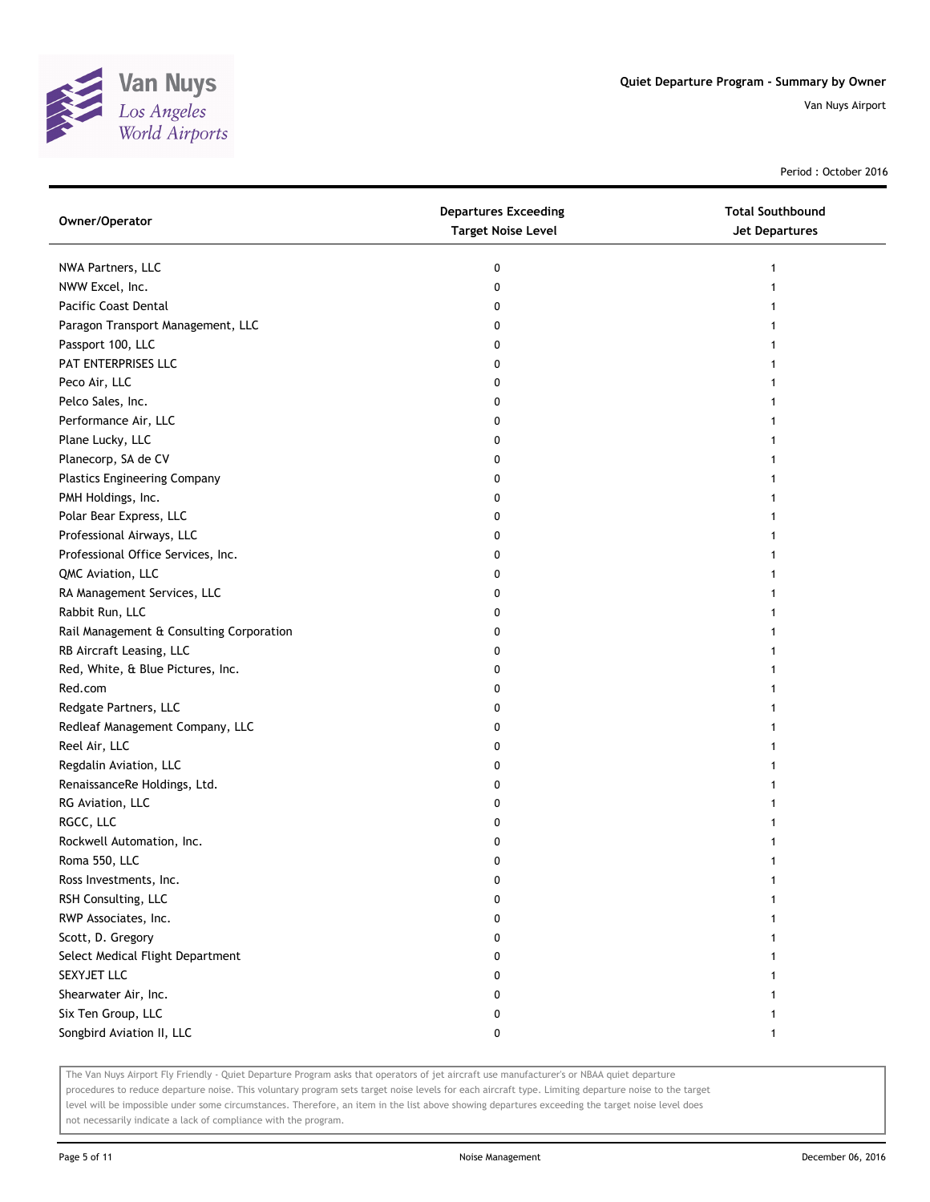

Period : October 2016

| Owner/Operator                           | <b>Departures Exceeding</b><br><b>Target Noise Level</b> | <b>Total Southbound</b><br><b>Jet Departures</b> |
|------------------------------------------|----------------------------------------------------------|--------------------------------------------------|
| NWA Partners, LLC                        | 0                                                        |                                                  |
| NWW Excel, Inc.                          | 0                                                        |                                                  |
| Pacific Coast Dental                     | 0                                                        |                                                  |
| Paragon Transport Management, LLC        | 0                                                        |                                                  |
| Passport 100, LLC                        | 0                                                        |                                                  |
| PAT ENTERPRISES LLC                      | 0                                                        |                                                  |
| Peco Air, LLC                            | 0                                                        |                                                  |
| Pelco Sales, Inc.                        | 0                                                        |                                                  |
| Performance Air, LLC                     | 0                                                        |                                                  |
| Plane Lucky, LLC                         | 0                                                        |                                                  |
| Planecorp, SA de CV                      | 0                                                        |                                                  |
| <b>Plastics Engineering Company</b>      | 0                                                        |                                                  |
| PMH Holdings, Inc.                       | 0                                                        |                                                  |
| Polar Bear Express, LLC                  | 0                                                        |                                                  |
| Professional Airways, LLC                | 0                                                        |                                                  |
| Professional Office Services, Inc.       | 0                                                        |                                                  |
| QMC Aviation, LLC                        | 0                                                        |                                                  |
| RA Management Services, LLC              | 0                                                        |                                                  |
| Rabbit Run, LLC                          | 0                                                        |                                                  |
| Rail Management & Consulting Corporation | 0                                                        |                                                  |
| RB Aircraft Leasing, LLC                 | 0                                                        |                                                  |
| Red, White, & Blue Pictures, Inc.        | 0                                                        |                                                  |
| Red.com                                  | 0                                                        |                                                  |
| Redgate Partners, LLC                    | 0                                                        |                                                  |
| Redleaf Management Company, LLC          | 0                                                        |                                                  |
| Reel Air, LLC                            | 0                                                        |                                                  |
| Regdalin Aviation, LLC                   | 0                                                        |                                                  |
| RenaissanceRe Holdings, Ltd.             | 0                                                        |                                                  |
| RG Aviation, LLC                         | 0                                                        |                                                  |
| RGCC, LLC                                | 0                                                        |                                                  |
| Rockwell Automation, Inc.                | 0                                                        |                                                  |
| Roma 550, LLC                            | 0                                                        |                                                  |
| Ross Investments, Inc.                   | 0                                                        |                                                  |
| RSH Consulting, LLC                      | 0                                                        |                                                  |
| RWP Associates, Inc.                     |                                                          |                                                  |
| Scott, D. Gregory                        | 0                                                        |                                                  |
| Select Medical Flight Department         | 0                                                        |                                                  |
| SEXYJET LLC                              | 0                                                        |                                                  |
| Shearwater Air, Inc.                     | 0                                                        |                                                  |
| Six Ten Group, LLC                       | 0                                                        |                                                  |
| Songbird Aviation II, LLC                | 0                                                        |                                                  |

The Van Nuys Airport Fly Friendly - Quiet Departure Program asks that operators of jet aircraft use manufacturer's or NBAA quiet departure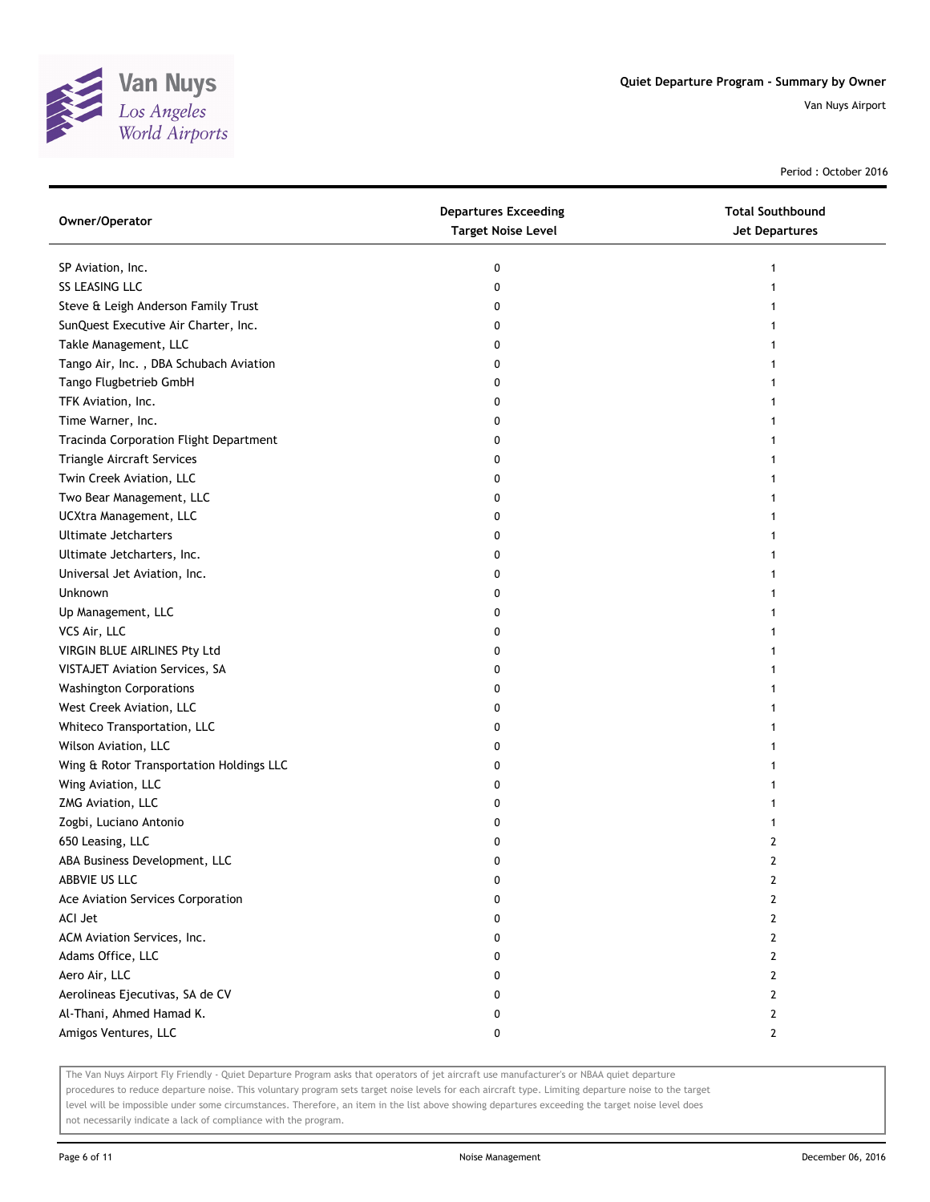

Period : October 2016

| Owner/Operator                           | <b>Departures Exceeding</b><br><b>Target Noise Level</b> | <b>Total Southbound</b><br>Jet Departures |
|------------------------------------------|----------------------------------------------------------|-------------------------------------------|
| SP Aviation, Inc.                        | 0                                                        | 1                                         |
| SS LEASING LLC                           | 0                                                        |                                           |
| Steve & Leigh Anderson Family Trust      | 0                                                        |                                           |
| SunQuest Executive Air Charter, Inc.     | 0                                                        |                                           |
| Takle Management, LLC                    | 0                                                        |                                           |
| Tango Air, Inc., DBA Schubach Aviation   | 0                                                        |                                           |
| Tango Flugbetrieb GmbH                   | 0                                                        |                                           |
| TFK Aviation, Inc.                       | 0                                                        |                                           |
| Time Warner, Inc.                        | 0                                                        |                                           |
| Tracinda Corporation Flight Department   | 0                                                        |                                           |
| Triangle Aircraft Services               | 0                                                        |                                           |
| Twin Creek Aviation, LLC                 | 0                                                        |                                           |
| Two Bear Management, LLC                 | 0                                                        |                                           |
| UCXtra Management, LLC                   | 0                                                        |                                           |
| Ultimate Jetcharters                     | 0                                                        |                                           |
| Ultimate Jetcharters, Inc.               | 0                                                        | 1                                         |
| Universal Jet Aviation, Inc.             | 0                                                        | 1                                         |
| Unknown                                  | 0                                                        |                                           |
| Up Management, LLC                       | 0                                                        |                                           |
| VCS Air, LLC                             | 0                                                        |                                           |
| VIRGIN BLUE AIRLINES Pty Ltd             | 0                                                        |                                           |
| VISTAJET Aviation Services, SA           | 0                                                        |                                           |
| <b>Washington Corporations</b>           | 0                                                        |                                           |
| West Creek Aviation, LLC                 | 0                                                        |                                           |
| Whiteco Transportation, LLC              | 0                                                        |                                           |
| Wilson Aviation, LLC                     | 0                                                        |                                           |
| Wing & Rotor Transportation Holdings LLC | 0                                                        |                                           |
| Wing Aviation, LLC                       | 0                                                        |                                           |
| ZMG Aviation, LLC                        | 0                                                        |                                           |
| Zogbi, Luciano Antonio                   | 0                                                        | 1                                         |
| 650 Leasing, LLC                         | 0                                                        | $\overline{2}$                            |
| ABA Business Development, LLC            | 0                                                        | $\overline{2}$                            |
| ABBVIE US LLC                            | 0                                                        | 2                                         |
| Ace Aviation Services Corporation        | 0                                                        | 2                                         |
| ACI Jet                                  | 0                                                        | $\mathbf{2}$                              |
| ACM Aviation Services, Inc.              | 0                                                        | $\mathbf{2}$                              |
| Adams Office, LLC                        | 0                                                        | $\mathbf{2}$                              |
| Aero Air, LLC                            | 0                                                        | $\mathbf{2}$                              |
| Aerolineas Ejecutivas, SA de CV          | 0                                                        | 2                                         |
| Al-Thani, Ahmed Hamad K.                 | 0                                                        | $\mathbf{2}$                              |
| Amigos Ventures, LLC                     | 0                                                        | $\mathbf{2}$                              |

The Van Nuys Airport Fly Friendly - Quiet Departure Program asks that operators of jet aircraft use manufacturer's or NBAA quiet departure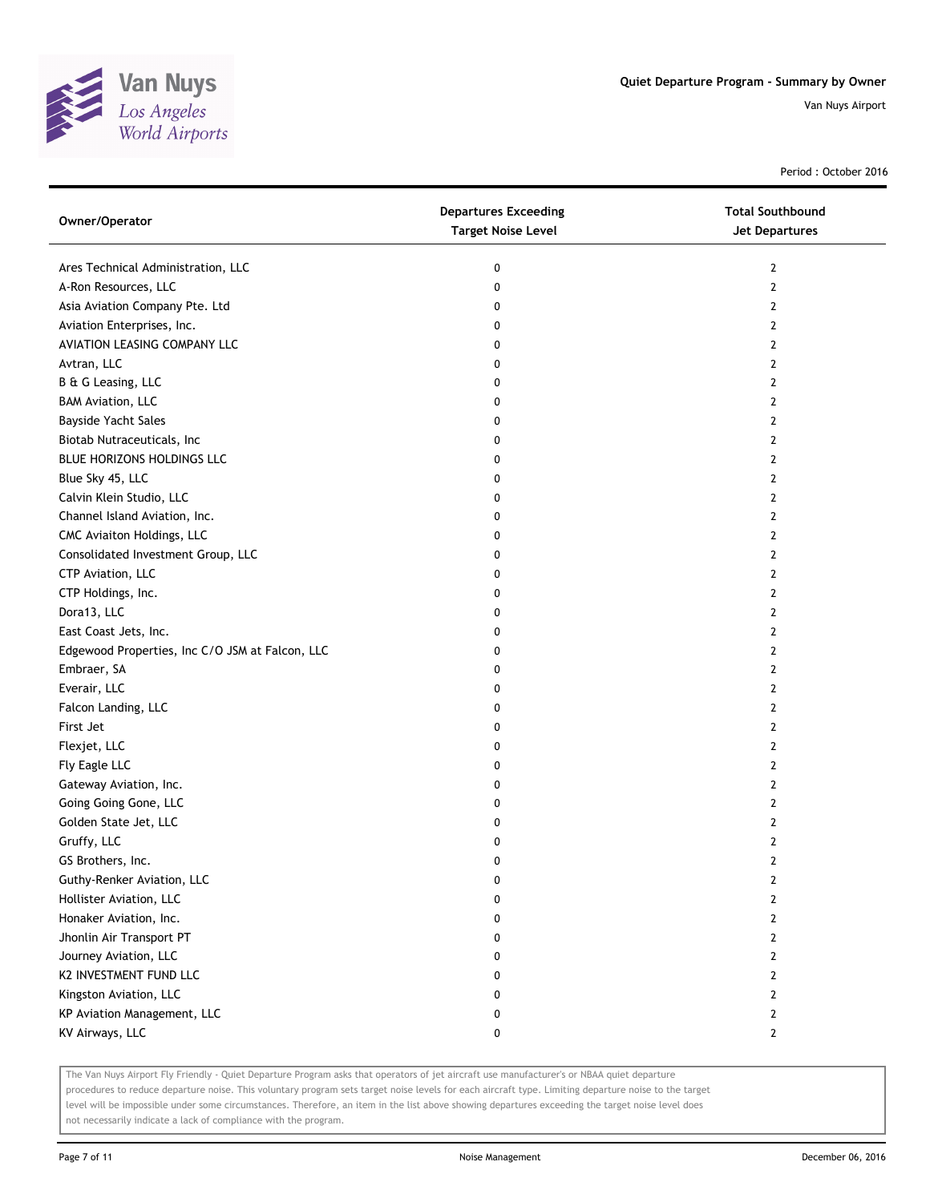

Period : October 2016

| Owner/Operator                                  | <b>Departures Exceeding</b><br><b>Target Noise Level</b> | <b>Total Southbound</b><br>Jet Departures |
|-------------------------------------------------|----------------------------------------------------------|-------------------------------------------|
| Ares Technical Administration, LLC              | 0                                                        | $\mathbf{2}$                              |
| A-Ron Resources, LLC                            | 0                                                        | $\mathbf{2}$                              |
| Asia Aviation Company Pte. Ltd                  | 0                                                        | 2                                         |
| Aviation Enterprises, Inc.                      | 0                                                        | 2                                         |
| AVIATION LEASING COMPANY LLC                    | 0                                                        | 2                                         |
| Avtran, LLC                                     | 0                                                        | 2                                         |
| B & G Leasing, LLC                              | 0                                                        | 2                                         |
| <b>BAM Aviation, LLC</b>                        | 0                                                        | 2                                         |
| Bayside Yacht Sales                             | 0                                                        | 2                                         |
| Biotab Nutraceuticals, Inc                      | 0                                                        | $\mathbf{2}$                              |
| BLUE HORIZONS HOLDINGS LLC                      | 0                                                        | $\overline{2}$                            |
| Blue Sky 45, LLC                                | 0                                                        | 2                                         |
| Calvin Klein Studio, LLC                        | 0                                                        | 2                                         |
| Channel Island Aviation, Inc.                   | 0                                                        | 2                                         |
| CMC Aviaiton Holdings, LLC                      | 0                                                        | 2                                         |
| Consolidated Investment Group, LLC              | 0                                                        | 2                                         |
| CTP Aviation, LLC                               | 0                                                        | 2                                         |
| CTP Holdings, Inc.                              | 0                                                        | 2                                         |
| Dora13, LLC                                     | 0                                                        | 2                                         |
| East Coast Jets, Inc.                           | 0                                                        | 2                                         |
| Edgewood Properties, Inc C/O JSM at Falcon, LLC | 0                                                        | $\mathbf{2}$                              |
| Embraer, SA                                     | 0                                                        | 2                                         |
| Everair, LLC                                    | 0                                                        | 2                                         |
| Falcon Landing, LLC                             | 0                                                        | 2                                         |
| First Jet                                       | 0                                                        | $\overline{2}$                            |
| Flexjet, LLC                                    | 0                                                        | 2                                         |
| Fly Eagle LLC                                   | 0                                                        | 2                                         |
| Gateway Aviation, Inc.                          | 0                                                        | 2                                         |
| Going Going Gone, LLC                           | 0                                                        | 2                                         |
| Golden State Jet, LLC                           | 0                                                        | $\mathbf{2}$                              |
| Gruffy, LLC                                     | 0                                                        | $\mathbf{2}$                              |
| GS Brothers, Inc.                               | 0                                                        | $\mathbf{2}$                              |
| Guthy-Renker Aviation, LLC                      | 0                                                        | 2                                         |
| Hollister Aviation, LLC                         | 0                                                        | 2                                         |
| Honaker Aviation, Inc.                          | 0                                                        | $\overline{2}$                            |
| Jhonlin Air Transport PT                        | 0                                                        | 2                                         |
| Journey Aviation, LLC                           | 0                                                        | $\mathbf{2}$                              |
| K2 INVESTMENT FUND LLC                          | 0                                                        | 2                                         |
| Kingston Aviation, LLC                          | 0                                                        | 2                                         |
| KP Aviation Management, LLC                     | 0                                                        | $\mathbf{2}$                              |
| KV Airways, LLC                                 | 0                                                        | $\mathbf{2}$                              |

The Van Nuys Airport Fly Friendly - Quiet Departure Program asks that operators of jet aircraft use manufacturer's or NBAA quiet departure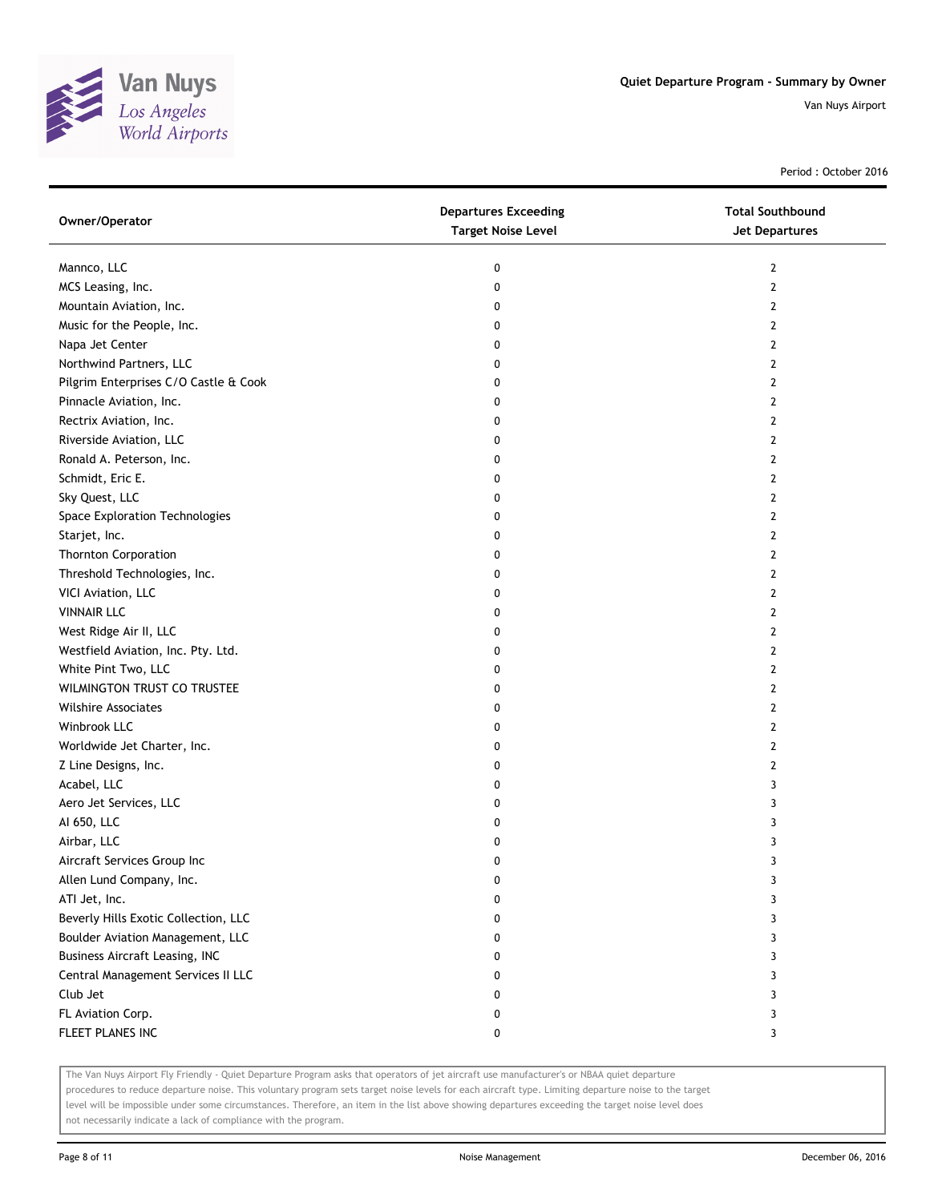

Period : October 2016

| Owner/Operator                        | <b>Departures Exceeding</b><br><b>Target Noise Level</b> | <b>Total Southbound</b><br><b>Jet Departures</b> |
|---------------------------------------|----------------------------------------------------------|--------------------------------------------------|
| Mannco, LLC                           | 0                                                        | $\overline{2}$                                   |
| MCS Leasing, Inc.                     | 0                                                        | $\overline{2}$                                   |
| Mountain Aviation, Inc.               | 0                                                        | 2                                                |
| Music for the People, Inc.            | 0                                                        | 2                                                |
| Napa Jet Center                       | 0                                                        | $\overline{2}$                                   |
| Northwind Partners, LLC               | 0                                                        | $\overline{2}$                                   |
| Pilgrim Enterprises C/O Castle & Cook | 0                                                        | 2                                                |
| Pinnacle Aviation, Inc.               | 0                                                        | 2                                                |
| Rectrix Aviation, Inc.                | 0                                                        | 2                                                |
| Riverside Aviation, LLC               | 0                                                        | $\mathbf{2}$                                     |
| Ronald A. Peterson, Inc.              | 0                                                        | $\overline{2}$                                   |
| Schmidt, Eric E.                      | 0                                                        | 2                                                |
| Sky Quest, LLC                        | 0                                                        | 2                                                |
| Space Exploration Technologies        | 0                                                        | 2                                                |
| Starjet, Inc.                         | 0                                                        | $\mathbf{2}$                                     |
| <b>Thornton Corporation</b>           | 0                                                        | 2                                                |
| Threshold Technologies, Inc.          | 0                                                        | 2                                                |
| VICI Aviation, LLC                    | 0                                                        | 2                                                |
| <b>VINNAIR LLC</b>                    | 0                                                        | 2                                                |
| West Ridge Air II, LLC                | 0                                                        | $\overline{2}$                                   |
| Westfield Aviation, Inc. Pty. Ltd.    | 0                                                        | $\overline{2}$                                   |
| White Pint Two, LLC                   | 0                                                        | $\overline{2}$                                   |
| WILMINGTON TRUST CO TRUSTEE           | 0                                                        | $\overline{2}$                                   |
| <b>Wilshire Associates</b>            | 0                                                        | 2                                                |
| Winbrook LLC                          | 0                                                        | $\mathbf{2}$                                     |
| Worldwide Jet Charter, Inc.           | 0                                                        | 2                                                |
| Z Line Designs, Inc.                  | 0                                                        | 2                                                |
| Acabel, LLC                           | 0                                                        | 3                                                |
| Aero Jet Services, LLC                | 0                                                        | 3                                                |
| AI 650, LLC                           | 0                                                        | 3                                                |
| Airbar, LLC                           | 0                                                        | 3                                                |
| Aircraft Services Group Inc           | 0                                                        | 3                                                |
| Allen Lund Company, Inc.              | 0                                                        | 3                                                |
| ATI Jet, Inc.                         | 0                                                        | 3                                                |
| Beverly Hills Exotic Collection, LLC  | 0                                                        | 3                                                |
| Boulder Aviation Management, LLC      | 0                                                        | 3                                                |
| <b>Business Aircraft Leasing, INC</b> | 0                                                        | 3                                                |
| Central Management Services II LLC    | 0                                                        | 3                                                |
| Club Jet                              | 0                                                        | 3                                                |
| FL Aviation Corp.                     | 0                                                        | 3                                                |
| FLEET PLANES INC                      | 0                                                        | 3                                                |

The Van Nuys Airport Fly Friendly - Quiet Departure Program asks that operators of jet aircraft use manufacturer's or NBAA quiet departure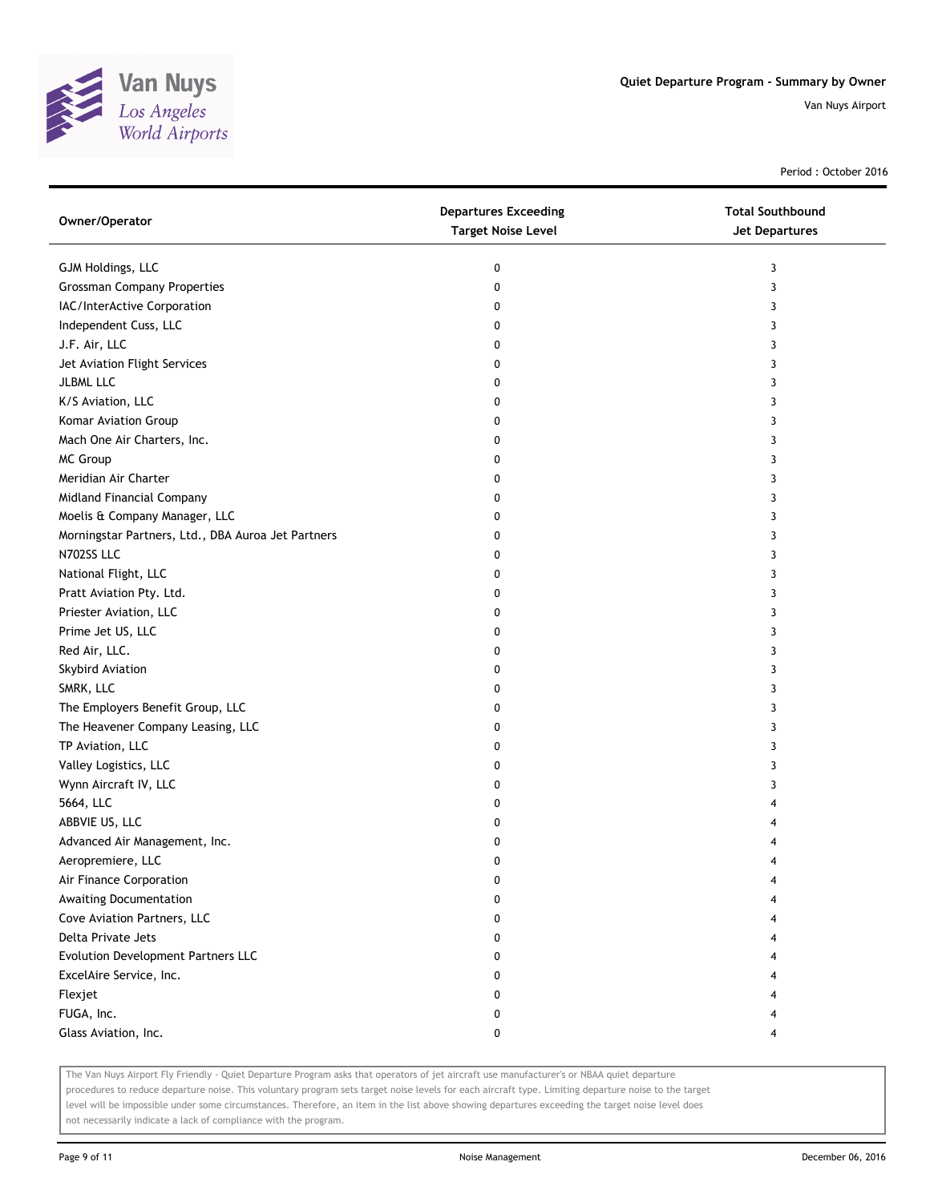

Period : October 2016

| Owner/Operator                                     | <b>Departures Exceeding</b><br><b>Target Noise Level</b> | <b>Total Southbound</b><br>Jet Departures |
|----------------------------------------------------|----------------------------------------------------------|-------------------------------------------|
| GJM Holdings, LLC                                  | 0                                                        | 3                                         |
| <b>Grossman Company Properties</b>                 | 0                                                        | 3                                         |
| IAC/InterActive Corporation                        | 0                                                        | 3                                         |
| Independent Cuss, LLC                              | 0                                                        | 3                                         |
| J.F. Air, LLC                                      | 0                                                        | 3                                         |
| Jet Aviation Flight Services                       | 0                                                        | 3                                         |
| <b>JLBML LLC</b>                                   | 0                                                        | 3                                         |
| K/S Aviation, LLC                                  | 0                                                        | 3                                         |
| Komar Aviation Group                               | 0                                                        | 3                                         |
| Mach One Air Charters, Inc.                        | 0                                                        | 3                                         |
| MC Group                                           | 0                                                        | 3                                         |
| Meridian Air Charter                               | 0                                                        | 3                                         |
| Midland Financial Company                          | 0                                                        | 3                                         |
| Moelis & Company Manager, LLC                      | 0                                                        | 3                                         |
| Morningstar Partners, Ltd., DBA Auroa Jet Partners | 0                                                        | 3                                         |
| N702SS LLC                                         | 0                                                        | 3                                         |
| National Flight, LLC                               | 0                                                        | 3                                         |
| Pratt Aviation Pty. Ltd.                           | 0                                                        | 3                                         |
| Priester Aviation, LLC                             | 0                                                        | 3                                         |
| Prime Jet US, LLC                                  | 0                                                        | 3                                         |
| Red Air, LLC.                                      | 0                                                        | 3                                         |
| Skybird Aviation                                   | 0                                                        | 3                                         |
| SMRK, LLC                                          | 0                                                        | 3                                         |
| The Employers Benefit Group, LLC                   | 0                                                        | 3                                         |
| The Heavener Company Leasing, LLC                  | 0                                                        | 3                                         |
| TP Aviation, LLC                                   | 0                                                        | 3                                         |
| Valley Logistics, LLC                              | 0                                                        | 3                                         |
| Wynn Aircraft IV, LLC                              | 0                                                        | 3                                         |
| 5664, LLC                                          | 0                                                        | 4                                         |
| ABBVIE US, LLC                                     | 0                                                        |                                           |
| Advanced Air Management, Inc.                      | 0                                                        |                                           |
| Aeropremiere, LLC                                  | 0                                                        | 4                                         |
| Air Finance Corporation                            | 0                                                        |                                           |
| Awaiting Documentation                             | 0                                                        |                                           |
| Cove Aviation Partners, LLC                        | 0                                                        |                                           |
| Delta Private Jets                                 | 0                                                        |                                           |
| Evolution Development Partners LLC                 | 0                                                        |                                           |
| ExcelAire Service, Inc.                            | 0                                                        |                                           |
| Flexjet                                            | 0                                                        |                                           |
| FUGA, Inc.                                         | 0                                                        |                                           |
| Glass Aviation, Inc.                               | 0                                                        | 4                                         |

The Van Nuys Airport Fly Friendly - Quiet Departure Program asks that operators of jet aircraft use manufacturer's or NBAA quiet departure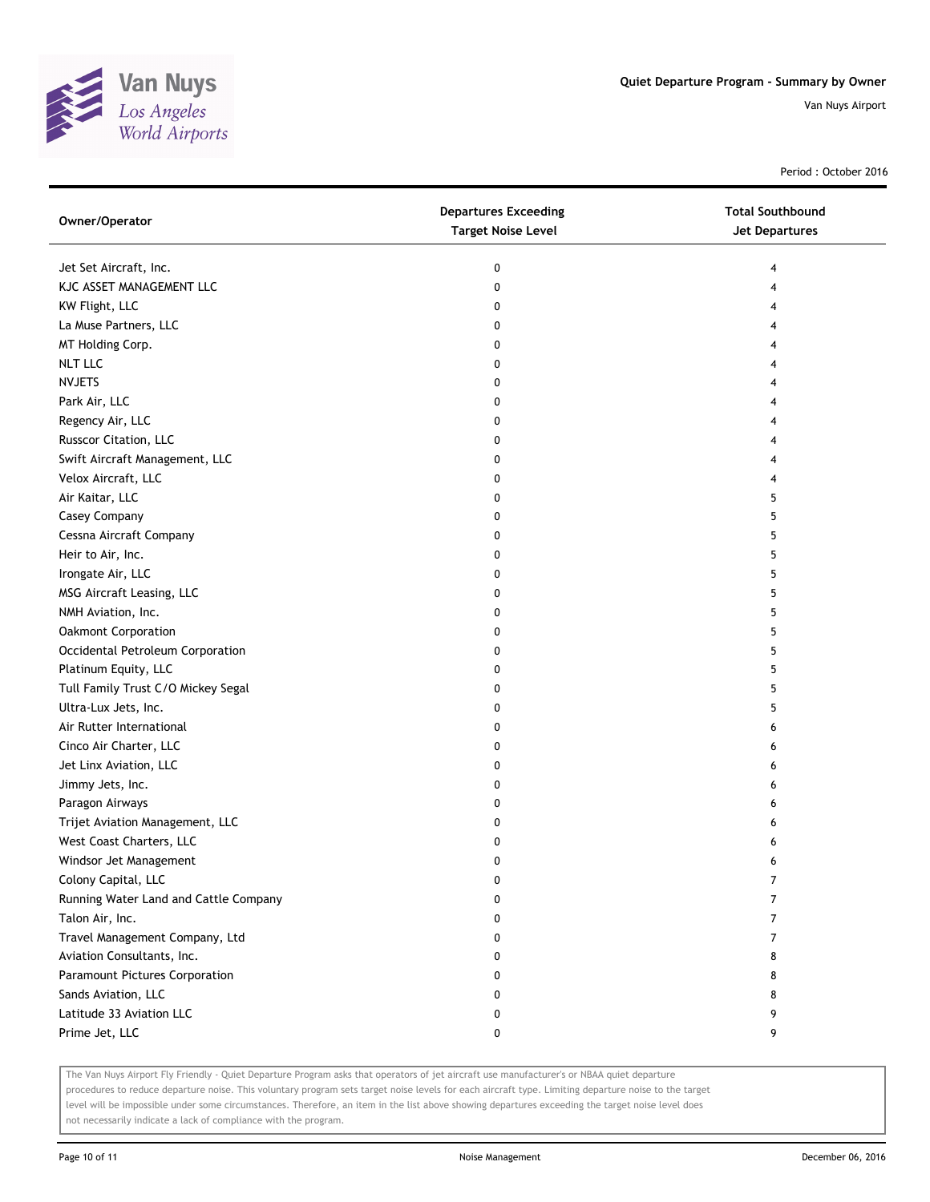

Period : October 2016

| Jet Set Aircraft, Inc.<br>0<br>4<br>KJC ASSET MANAGEMENT LLC<br>0<br>4<br>KW Flight, LLC<br>0<br>4<br>La Muse Partners, LLC<br>0<br>4<br>MT Holding Corp.<br>0<br>4<br><b>NLT LLC</b><br>0<br>4<br><b>NVJETS</b><br>0<br>4<br>Park Air, LLC<br>0<br>4<br>Regency Air, LLC<br>0<br>4<br>Russcor Citation, LLC<br>0<br>4<br>Swift Aircraft Management, LLC<br>0<br>4<br>Velox Aircraft, LLC<br>0<br>4<br>Air Kaitar, LLC<br>0<br>5<br>Casey Company<br>0<br>5<br>Cessna Aircraft Company<br>0<br>5<br>Heir to Air, Inc.<br>5<br>0<br>Irongate Air, LLC<br>5<br>0<br>MSG Aircraft Leasing, LLC<br>0<br>5<br>NMH Aviation, Inc.<br>5<br>0<br>Oakmont Corporation<br>5<br>0<br>Occidental Petroleum Corporation<br>5<br>0<br>Platinum Equity, LLC<br>5<br>0<br>Tull Family Trust C/O Mickey Segal<br>0<br>5<br>Ultra-Lux Jets, Inc.<br>0<br>5<br>Air Rutter International<br>0<br>6<br>Cinco Air Charter, LLC<br>0<br>6<br>Jet Linx Aviation, LLC<br>0<br>6<br>Jimmy Jets, Inc.<br>0<br>6<br>Paragon Airways<br>0<br>6<br>Trijet Aviation Management, LLC<br>0<br>6<br>West Coast Charters, LLC<br>0<br>6<br>Windsor Jet Management<br>0<br>6<br>Colony Capital, LLC<br>0<br>7<br>Running Water Land and Cattle Company<br>7<br>0<br>Talon Air, Inc.<br>7<br>0<br>Travel Management Company, Ltd<br>0<br>7<br>Aviation Consultants, Inc.<br>0<br>8<br>Paramount Pictures Corporation<br>0<br>8<br>Sands Aviation, LLC<br>0<br>8 | Owner/Operator           | <b>Departures Exceeding</b><br><b>Target Noise Level</b> | <b>Total Southbound</b><br><b>Jet Departures</b> |
|----------------------------------------------------------------------------------------------------------------------------------------------------------------------------------------------------------------------------------------------------------------------------------------------------------------------------------------------------------------------------------------------------------------------------------------------------------------------------------------------------------------------------------------------------------------------------------------------------------------------------------------------------------------------------------------------------------------------------------------------------------------------------------------------------------------------------------------------------------------------------------------------------------------------------------------------------------------------------------------------------------------------------------------------------------------------------------------------------------------------------------------------------------------------------------------------------------------------------------------------------------------------------------------------------------------------------------------------------------------------------------------------------------------------------|--------------------------|----------------------------------------------------------|--------------------------------------------------|
|                                                                                                                                                                                                                                                                                                                                                                                                                                                                                                                                                                                                                                                                                                                                                                                                                                                                                                                                                                                                                                                                                                                                                                                                                                                                                                                                                                                                                            |                          |                                                          |                                                  |
|                                                                                                                                                                                                                                                                                                                                                                                                                                                                                                                                                                                                                                                                                                                                                                                                                                                                                                                                                                                                                                                                                                                                                                                                                                                                                                                                                                                                                            |                          |                                                          |                                                  |
|                                                                                                                                                                                                                                                                                                                                                                                                                                                                                                                                                                                                                                                                                                                                                                                                                                                                                                                                                                                                                                                                                                                                                                                                                                                                                                                                                                                                                            |                          |                                                          |                                                  |
|                                                                                                                                                                                                                                                                                                                                                                                                                                                                                                                                                                                                                                                                                                                                                                                                                                                                                                                                                                                                                                                                                                                                                                                                                                                                                                                                                                                                                            |                          |                                                          |                                                  |
|                                                                                                                                                                                                                                                                                                                                                                                                                                                                                                                                                                                                                                                                                                                                                                                                                                                                                                                                                                                                                                                                                                                                                                                                                                                                                                                                                                                                                            |                          |                                                          |                                                  |
|                                                                                                                                                                                                                                                                                                                                                                                                                                                                                                                                                                                                                                                                                                                                                                                                                                                                                                                                                                                                                                                                                                                                                                                                                                                                                                                                                                                                                            |                          |                                                          |                                                  |
|                                                                                                                                                                                                                                                                                                                                                                                                                                                                                                                                                                                                                                                                                                                                                                                                                                                                                                                                                                                                                                                                                                                                                                                                                                                                                                                                                                                                                            |                          |                                                          |                                                  |
|                                                                                                                                                                                                                                                                                                                                                                                                                                                                                                                                                                                                                                                                                                                                                                                                                                                                                                                                                                                                                                                                                                                                                                                                                                                                                                                                                                                                                            |                          |                                                          |                                                  |
|                                                                                                                                                                                                                                                                                                                                                                                                                                                                                                                                                                                                                                                                                                                                                                                                                                                                                                                                                                                                                                                                                                                                                                                                                                                                                                                                                                                                                            |                          |                                                          |                                                  |
|                                                                                                                                                                                                                                                                                                                                                                                                                                                                                                                                                                                                                                                                                                                                                                                                                                                                                                                                                                                                                                                                                                                                                                                                                                                                                                                                                                                                                            |                          |                                                          |                                                  |
|                                                                                                                                                                                                                                                                                                                                                                                                                                                                                                                                                                                                                                                                                                                                                                                                                                                                                                                                                                                                                                                                                                                                                                                                                                                                                                                                                                                                                            |                          |                                                          |                                                  |
|                                                                                                                                                                                                                                                                                                                                                                                                                                                                                                                                                                                                                                                                                                                                                                                                                                                                                                                                                                                                                                                                                                                                                                                                                                                                                                                                                                                                                            |                          |                                                          |                                                  |
|                                                                                                                                                                                                                                                                                                                                                                                                                                                                                                                                                                                                                                                                                                                                                                                                                                                                                                                                                                                                                                                                                                                                                                                                                                                                                                                                                                                                                            |                          |                                                          |                                                  |
|                                                                                                                                                                                                                                                                                                                                                                                                                                                                                                                                                                                                                                                                                                                                                                                                                                                                                                                                                                                                                                                                                                                                                                                                                                                                                                                                                                                                                            |                          |                                                          |                                                  |
|                                                                                                                                                                                                                                                                                                                                                                                                                                                                                                                                                                                                                                                                                                                                                                                                                                                                                                                                                                                                                                                                                                                                                                                                                                                                                                                                                                                                                            |                          |                                                          |                                                  |
|                                                                                                                                                                                                                                                                                                                                                                                                                                                                                                                                                                                                                                                                                                                                                                                                                                                                                                                                                                                                                                                                                                                                                                                                                                                                                                                                                                                                                            |                          |                                                          |                                                  |
|                                                                                                                                                                                                                                                                                                                                                                                                                                                                                                                                                                                                                                                                                                                                                                                                                                                                                                                                                                                                                                                                                                                                                                                                                                                                                                                                                                                                                            |                          |                                                          |                                                  |
|                                                                                                                                                                                                                                                                                                                                                                                                                                                                                                                                                                                                                                                                                                                                                                                                                                                                                                                                                                                                                                                                                                                                                                                                                                                                                                                                                                                                                            |                          |                                                          |                                                  |
|                                                                                                                                                                                                                                                                                                                                                                                                                                                                                                                                                                                                                                                                                                                                                                                                                                                                                                                                                                                                                                                                                                                                                                                                                                                                                                                                                                                                                            |                          |                                                          |                                                  |
|                                                                                                                                                                                                                                                                                                                                                                                                                                                                                                                                                                                                                                                                                                                                                                                                                                                                                                                                                                                                                                                                                                                                                                                                                                                                                                                                                                                                                            |                          |                                                          |                                                  |
|                                                                                                                                                                                                                                                                                                                                                                                                                                                                                                                                                                                                                                                                                                                                                                                                                                                                                                                                                                                                                                                                                                                                                                                                                                                                                                                                                                                                                            |                          |                                                          |                                                  |
|                                                                                                                                                                                                                                                                                                                                                                                                                                                                                                                                                                                                                                                                                                                                                                                                                                                                                                                                                                                                                                                                                                                                                                                                                                                                                                                                                                                                                            |                          |                                                          |                                                  |
|                                                                                                                                                                                                                                                                                                                                                                                                                                                                                                                                                                                                                                                                                                                                                                                                                                                                                                                                                                                                                                                                                                                                                                                                                                                                                                                                                                                                                            |                          |                                                          |                                                  |
|                                                                                                                                                                                                                                                                                                                                                                                                                                                                                                                                                                                                                                                                                                                                                                                                                                                                                                                                                                                                                                                                                                                                                                                                                                                                                                                                                                                                                            |                          |                                                          |                                                  |
|                                                                                                                                                                                                                                                                                                                                                                                                                                                                                                                                                                                                                                                                                                                                                                                                                                                                                                                                                                                                                                                                                                                                                                                                                                                                                                                                                                                                                            |                          |                                                          |                                                  |
|                                                                                                                                                                                                                                                                                                                                                                                                                                                                                                                                                                                                                                                                                                                                                                                                                                                                                                                                                                                                                                                                                                                                                                                                                                                                                                                                                                                                                            |                          |                                                          |                                                  |
|                                                                                                                                                                                                                                                                                                                                                                                                                                                                                                                                                                                                                                                                                                                                                                                                                                                                                                                                                                                                                                                                                                                                                                                                                                                                                                                                                                                                                            |                          |                                                          |                                                  |
|                                                                                                                                                                                                                                                                                                                                                                                                                                                                                                                                                                                                                                                                                                                                                                                                                                                                                                                                                                                                                                                                                                                                                                                                                                                                                                                                                                                                                            |                          |                                                          |                                                  |
|                                                                                                                                                                                                                                                                                                                                                                                                                                                                                                                                                                                                                                                                                                                                                                                                                                                                                                                                                                                                                                                                                                                                                                                                                                                                                                                                                                                                                            |                          |                                                          |                                                  |
|                                                                                                                                                                                                                                                                                                                                                                                                                                                                                                                                                                                                                                                                                                                                                                                                                                                                                                                                                                                                                                                                                                                                                                                                                                                                                                                                                                                                                            |                          |                                                          |                                                  |
|                                                                                                                                                                                                                                                                                                                                                                                                                                                                                                                                                                                                                                                                                                                                                                                                                                                                                                                                                                                                                                                                                                                                                                                                                                                                                                                                                                                                                            |                          |                                                          |                                                  |
|                                                                                                                                                                                                                                                                                                                                                                                                                                                                                                                                                                                                                                                                                                                                                                                                                                                                                                                                                                                                                                                                                                                                                                                                                                                                                                                                                                                                                            |                          |                                                          |                                                  |
|                                                                                                                                                                                                                                                                                                                                                                                                                                                                                                                                                                                                                                                                                                                                                                                                                                                                                                                                                                                                                                                                                                                                                                                                                                                                                                                                                                                                                            |                          |                                                          |                                                  |
|                                                                                                                                                                                                                                                                                                                                                                                                                                                                                                                                                                                                                                                                                                                                                                                                                                                                                                                                                                                                                                                                                                                                                                                                                                                                                                                                                                                                                            |                          |                                                          |                                                  |
|                                                                                                                                                                                                                                                                                                                                                                                                                                                                                                                                                                                                                                                                                                                                                                                                                                                                                                                                                                                                                                                                                                                                                                                                                                                                                                                                                                                                                            |                          |                                                          |                                                  |
|                                                                                                                                                                                                                                                                                                                                                                                                                                                                                                                                                                                                                                                                                                                                                                                                                                                                                                                                                                                                                                                                                                                                                                                                                                                                                                                                                                                                                            |                          |                                                          |                                                  |
|                                                                                                                                                                                                                                                                                                                                                                                                                                                                                                                                                                                                                                                                                                                                                                                                                                                                                                                                                                                                                                                                                                                                                                                                                                                                                                                                                                                                                            |                          |                                                          |                                                  |
|                                                                                                                                                                                                                                                                                                                                                                                                                                                                                                                                                                                                                                                                                                                                                                                                                                                                                                                                                                                                                                                                                                                                                                                                                                                                                                                                                                                                                            |                          |                                                          |                                                  |
|                                                                                                                                                                                                                                                                                                                                                                                                                                                                                                                                                                                                                                                                                                                                                                                                                                                                                                                                                                                                                                                                                                                                                                                                                                                                                                                                                                                                                            |                          |                                                          |                                                  |
|                                                                                                                                                                                                                                                                                                                                                                                                                                                                                                                                                                                                                                                                                                                                                                                                                                                                                                                                                                                                                                                                                                                                                                                                                                                                                                                                                                                                                            | Latitude 33 Aviation LLC | 0                                                        | 9                                                |
| Prime Jet, LLC<br>9<br>0                                                                                                                                                                                                                                                                                                                                                                                                                                                                                                                                                                                                                                                                                                                                                                                                                                                                                                                                                                                                                                                                                                                                                                                                                                                                                                                                                                                                   |                          |                                                          |                                                  |

The Van Nuys Airport Fly Friendly - Quiet Departure Program asks that operators of jet aircraft use manufacturer's or NBAA quiet departure